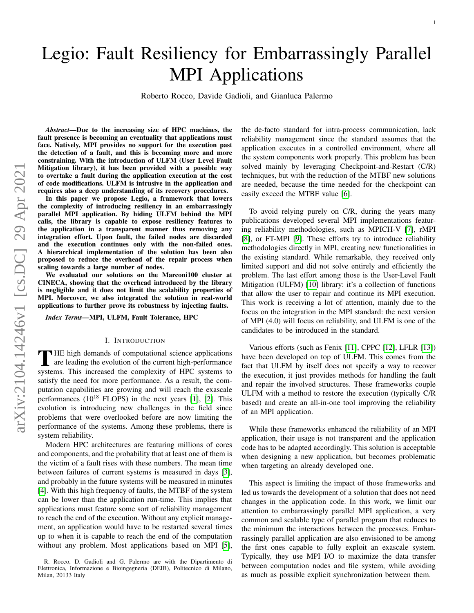# Legio: Fault Resiliency for Embarrassingly Parallel MPI Applications

Roberto Rocco, Davide Gadioli, and Gianluca Palermo

*Abstract*—Due to the increasing size of HPC machines, the fault presence is becoming an eventuality that applications must face. Natively, MPI provides no support for the execution past the detection of a fault, and this is becoming more and more constraining. With the introduction of ULFM (User Level Fault Mitigation library), it has been provided with a possible way to overtake a fault during the application execution at the cost of code modifications. ULFM is intrusive in the application and requires also a deep understanding of its recovery procedures.

In this paper we propose Legio, a framework that lowers the complexity of introducing resiliency in an embarrassingly parallel MPI application. By hiding ULFM behind the MPI calls, the library is capable to expose resiliency features to the application in a transparent manner thus removing any integration effort. Upon fault, the failed nodes are discarded and the execution continues only with the non-failed ones. A hierarchical implementation of the solution has been also proposed to reduce the overhead of the repair process when scaling towards a large number of nodes.

We evaluated our solutions on the Marconi100 cluster at CINECA, showing that the overhead introduced by the library is negligible and it does not limit the scalability properties of MPI. Moreover, we also integrated the solution in real-world applications to further prove its robustness by injecting faults.

*Index Terms*—MPI, ULFM, Fault Tolerance, HPC

#### I. INTRODUCTION

THE high demands of computational science applications<br>are leading the evolution of the current high-performance<br>with the complexity of HDC surfaces to HE high demands of computational science applications systems. This increased the complexity of HPC systems to satisfy the need for more performance. As a result, the computation capabilities are growing and will reach the exascale performances  $(10^{18}$  FLOPS) in the next years [\[1\]](#page-7-0), [\[2\]](#page-7-1). This evolution is introducing new challenges in the field since problems that were overlooked before are now limiting the performance of the systems. Among these problems, there is system reliability.

Modern HPC architectures are featuring millions of cores and components, and the probability that at least one of them is the victim of a fault rises with these numbers. The mean time between failures of current systems is measured in days [\[3\]](#page-7-2), and probably in the future systems will be measured in minutes [\[4\]](#page-7-3). With this high frequency of faults, the MTBF of the system can be lower than the application run-time. This implies that applications must feature some sort of reliability management to reach the end of the execution. Without any explicit management, an application would have to be restarted several times up to when it is capable to reach the end of the computation without any problem. Most applications based on MPI [\[5\]](#page-7-4), the de-facto standard for intra-process communication, lack reliability management since the standard assumes that the application executes in a controlled environment, where all the system components work properly. This problem has been solved mainly by leveraging Checkpoint-and-Restart (C/R) techniques, but with the reduction of the MTBF new solutions are needed, because the time needed for the checkpoint can easily exceed the MTBF value [\[6\]](#page-7-5).

To avoid relying purely on C/R, during the years many publications developed several MPI implementations featuring reliability methodologies, such as MPICH-V [\[7\]](#page-7-6), rMPI [\[8\]](#page-7-7), or FT-MPI [\[9\]](#page-7-8). These efforts try to introduce reliability methodologies directly in MPI, creating new functionalities in the existing standard. While remarkable, they received only limited support and did not solve entirely and efficiently the problem. The last effort among those is the User-Level Fault Mitigation (ULFM) [\[10\]](#page-7-9) library: it's a collection of functions that allow the user to repair and continue its MPI execution. This work is receiving a lot of attention, mainly due to the focus on the integration in the MPI standard: the next version of MPI (4.0) will focus on reliability, and ULFM is one of the candidates to be introduced in the standard.

Various efforts (such as Fenix [\[11\]](#page-7-10), CPPC [\[12\]](#page-7-11), LFLR [\[13\]](#page-7-12)) have been developed on top of ULFM. This comes from the fact that ULFM by itself does not specify a way to recover the execution, it just provides methods for handling the fault and repair the involved structures. These frameworks couple ULFM with a method to restore the execution (typically C/R based) and create an all-in-one tool improving the reliability of an MPI application.

While these frameworks enhanced the reliability of an MPI application, their usage is not transparent and the application code has to be adapted accordingly. This solution is acceptable when designing a new application, but becomes problematic when targeting an already developed one.

This aspect is limiting the impact of those frameworks and led us towards the development of a solution that does not need changes in the application code. In this work, we limit our attention to embarrassingly parallel MPI application, a very common and scalable type of parallel program that reduces to the minimum the interactions between the processes. Embarrassingly parallel application are also envisioned to be among the first ones capable to fully exploit an exascale system. Typically, they use MPI I/O to maximize the data transfer between computation nodes and file system, while avoiding as much as possible explicit synchronization between them.

R. Rocco, D. Gadioli and G. Palermo are with the Dipartimento di Elettronica, Informazione e Bioingegneria (DEIB), Politecnico di Milano, Milan, 20133 Italy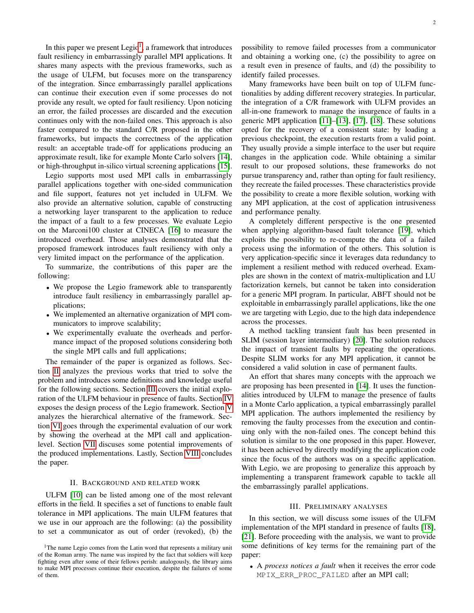In this paper we present  $Legio<sup>1</sup>$  $Legio<sup>1</sup>$  $Legio<sup>1</sup>$ , a framework that introduces fault resiliency in embarrassingly parallel MPI applications. It shares many aspects with the previous frameworks, such as the usage of ULFM, but focuses more on the transparency of the integration. Since embarrassingly parallel applications can continue their execution even if some processes do not provide any result, we opted for fault resiliency. Upon noticing an error, the failed processes are discarded and the execution continues only with the non-failed ones. This approach is also faster compared to the standard C/R proposed in the other frameworks, but impacts the correctness of the application result: an acceptable trade-off for applications producing an approximate result, like for example Monte Carlo solvers [\[14\]](#page-7-13), or high-throughput in-silico virtual screening applications [\[15\]](#page-7-14).

Legio supports most used MPI calls in embarrassingly parallel applications together with one-sided communication and file support, features not yet included in ULFM. We also provide an alternative solution, capable of constructing a networking layer transparent to the application to reduce the impact of a fault to a few processes. We evaluate Legio on the Marconi100 cluster at CINECA [\[16\]](#page-7-15) to measure the introduced overhead. Those analyses demonstrated that the proposed framework introduces fault resiliency with only a very limited impact on the performance of the application.

To summarize, the contributions of this paper are the following:

- We propose the Legio framework able to transparently introduce fault resiliency in embarrassingly parallel applications;
- We implemented an alternative organization of MPI communicators to improve scalability;
- We experimentally evaluate the overheads and performance impact of the proposed solutions considering both the single MPI calls and full applications;

The remainder of the paper is organized as follows. Section [II](#page-1-1) analyzes the previous works that tried to solve the problem and introduces some definitions and knowledge useful for the following sections. Section [III](#page-1-2) covers the initial exploration of the ULFM behaviour in presence of faults. Section [IV](#page-2-0) exposes the design process of the Legio framework. Section [V](#page-3-0) analyzes the hierarchical alternative of the framework. Section [VI](#page-5-0) goes through the experimental evaluation of our work by showing the overhead at the MPI call and applicationlevel. Section [VII](#page-6-0) discuses some potential improvements of the produced implementations. Lastly, Section [VIII](#page-7-16) concludes the paper.

#### II. BACKGROUND AND RELATED WORK

<span id="page-1-1"></span>ULFM [\[10\]](#page-7-9) can be listed among one of the most relevant efforts in the field. It specifies a set of functions to enable fault tolerance in MPI applications. The main ULFM features that we use in our approach are the following: (a) the possibility to set a communicator as out of order (revoked), (b) the

possibility to remove failed processes from a communicator and obtaining a working one, (c) the possibility to agree on a result even in presence of faults, and (d) the possibility to identify failed processes.

Many frameworks have been built on top of ULFM functionalities by adding different recovery strategies. In particular, the integration of a C/R framework with ULFM provides an all-in-one framework to manage the insurgence of faults in a generic MPI application [\[11\]](#page-7-10)–[\[13\]](#page-7-12), [\[17\]](#page-7-17), [\[18\]](#page-7-18). These solutions opted for the recovery of a consistent state: by loading a previous checkpoint, the execution restarts from a valid point. They usually provide a simple interface to the user but require changes in the application code. While obtaining a similar result to our proposed solutions, these frameworks do not pursue transparency and, rather than opting for fault resiliency, they recreate the failed processes. These characteristics provide the possibility to create a more flexible solution, working with any MPI application, at the cost of application intrusiveness and performance penalty.

A completely different perspective is the one presented when applying algorithm-based fault tolerance [\[19\]](#page-7-19), which exploits the possibility to re-compute the data of a failed process using the information of the others. This solution is very application-specific since it leverages data redundancy to implement a resilient method with reduced overhead. Examples are shown in the context of matrix-multiplication and LU factorization kernels, but cannot be taken into consideration for a generic MPI program. In particular, ABFT should not be exploitable in embarrassingly parallel applications, like the one we are targeting with Legio, due to the high data independence across the processes.

A method tackling transient fault has been presented in SLIM (session layer intermediary) [\[20\]](#page-7-20). The solution reduces the impact of transient faults by repeating the operations. Despite SLIM works for any MPI application, it cannot be considered a valid solution in case of permanent faults.

An effort that shares many concepts with the approach we are proposing has been presented in [\[14\]](#page-7-13). It uses the functionalities introduced by ULFM to manage the presence of faults in a Monte Carlo application, a typical embarrassingly parallel MPI application. The authors implemented the resiliency by removing the faulty processes from the execution and continuing only with the non-failed ones. The concept behind this solution is similar to the one proposed in this paper. However, it has been achieved by directly modifying the application code since the focus of the authors was on a specific application. With Legio, we are proposing to generalize this approach by implementing a transparent framework capable to tackle all the embarrassingly parallel applications.

## III. PRELIMINARY ANALYSES

<span id="page-1-2"></span>In this section, we will discuss some issues of the ULFM implementation of the MPI standard in presence of faults [\[18\]](#page-7-18), [\[21\]](#page-7-21). Before proceeding with the analysis, we want to provide some definitions of key terms for the remaining part of the paper:

• A *process notices a fault* when it receives the error code MPIX\_ERR\_PROC\_FAILED after an MPI call;

<span id="page-1-0"></span><sup>&</sup>lt;sup>1</sup>The name Legio comes from the Latin word that represents a military unit of the Roman army. The name was inspired by the fact that soldiers will keep fighting even after some of their fellows perish: analogously, the library aims to make MPI processes continue their execution, despite the failures of some of them.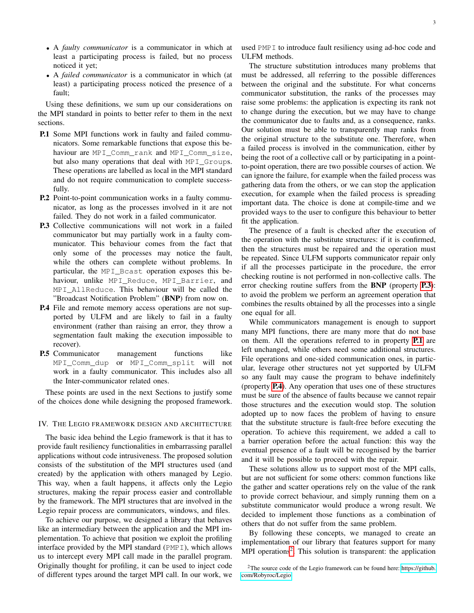- A *faulty communicator* is a communicator in which at least a participating process is failed, but no process noticed it yet;
- A *failed communicator* is a communicator in which (at least) a participating process noticed the presence of a fault;

Using these definitions, we sum up our considerations on the MPI standard in points to better refer to them in the next sections.

- <span id="page-2-2"></span>P.1 Some MPI functions work in faulty and failed communicators. Some remarkable functions that expose this behaviour are MPI\_Comm\_rank and MPI\_Comm\_size, but also many operations that deal with MPI\_Groups. These operations are labelled as local in the MPI standard and do not require communication to complete successfully.
- <span id="page-2-6"></span>P.2 Point-to-point communication works in a faulty communicator, as long as the processes involved in it are not failed. They do not work in a failed communicator.
- <span id="page-2-1"></span>P.3 Collective communications will not work in a failed communicator but may partially work in a faulty communicator. This behaviour comes from the fact that only some of the processes may notice the fault, while the others can complete without problems. In particular, the MPI\_Bcast operation exposes this behaviour, unlike MPI\_Reduce, MPI\_Barrier, and MPI\_AllReduce. This behaviour will be called the "Broadcast Notification Problem" (BNP) from now on.
- <span id="page-2-3"></span>P.4 File and remote memory access operations are not supported by ULFM and are likely to fail in a faulty environment (rather than raising an error, they throw a segmentation fault making the execution impossible to recover).
- <span id="page-2-5"></span>P.5 Communicator management functions like MPI\_Comm\_dup or MPI\_Comm\_split will not work in a faulty communicator. This includes also all the Inter-communicator related ones.

These points are used in the next Sections to justify some of the choices done while designing the proposed framework.

# <span id="page-2-0"></span>IV. THE LEGIO FRAMEWORK DESIGN AND ARCHITECTURE

The basic idea behind the Legio framework is that it has to provide fault resiliency functionalities in embarrassing parallel applications without code intrusiveness. The proposed solution consists of the substitution of the MPI structures used (and created) by the application with others managed by Legio. This way, when a fault happens, it affects only the Legio structures, making the repair process easier and controllable by the framework. The MPI structures that are involved in the Legio repair process are communicators, windows, and files.

To achieve our purpose, we designed a library that behaves like an intermediary between the application and the MPI implementation. To achieve that position we exploit the profiling interface provided by the MPI standard (PMPI), which allows us to intercept every MPI call made in the parallel program. Originally thought for profiling, it can be used to inject code of different types around the target MPI call. In our work, we used PMPI to introduce fault resiliency using ad-hoc code and ULFM methods.

The structure substitution introduces many problems that must be addressed, all referring to the possible differences between the original and the substitute. For what concerns communicator substitution, the ranks of the processes may raise some problems: the application is expecting its rank not to change during the execution, but we may have to change the communicator due to faults and, as a consequence, ranks. Our solution must be able to transparently map ranks from the original structure to the substitute one. Therefore, when a failed process is involved in the communication, either by being the root of a collective call or by participating in a pointto-point operation, there are two possible courses of action. We can ignore the failure, for example when the failed process was gathering data from the others, or we can stop the application execution, for example when the failed process is spreading important data. The choice is done at compile-time and we provided ways to the user to configure this behaviour to better fit the application.

The presence of a fault is checked after the execution of the operation with the substitute structures: if it is confirmed, then the structures must be repaired and the operation must be repeated. Since ULFM supports communicator repair only if all the processes participate in the procedure, the error checking routine is not performed in non-collective calls. The error checking routine suffers from the BNP (property [P.3](#page-2-1)): to avoid the problem we perform an agreement operation that combines the results obtained by all the processes into a single one equal for all.

While communicators management is enough to support many MPI functions, there are many more that do not base on them. All the operations referred to in property [P.1](#page-2-2) are left unchanged, while others need some additional structures. File operations and one-sided communication ones, in particular, leverage other structures not yet supported by ULFM so any fault may cause the program to behave indefinitely (property [P.4](#page-2-3)). Any operation that uses one of these structures must be sure of the absence of faults because we cannot repair those structures and the execution would stop. The solution adopted up to now faces the problem of having to ensure that the substitute structure is fault-free before executing the operation. To achieve this requirement, we added a call to a barrier operation before the actual function: this way the eventual presence of a fault will be recognised by the barrier and it will be possible to proceed with the repair.

These solutions allow us to support most of the MPI calls, but are not sufficient for some others: common functions like the gather and scatter operations rely on the value of the rank to provide correct behaviour, and simply running them on a substitute communicator would produce a wrong result. We decided to implement those functions as a combination of others that do not suffer from the same problem.

By following these concepts, we managed to create an implementation of our library that features support for many MPI operations<sup>[2](#page-2-4)</sup>. This solution is transparent: the application

<span id="page-2-4"></span><sup>2</sup>The source code of the Legio framework can be found here: [https://github.](https://github.com/Robyroc/Legio) [com/Robyroc/Legio.](https://github.com/Robyroc/Legio)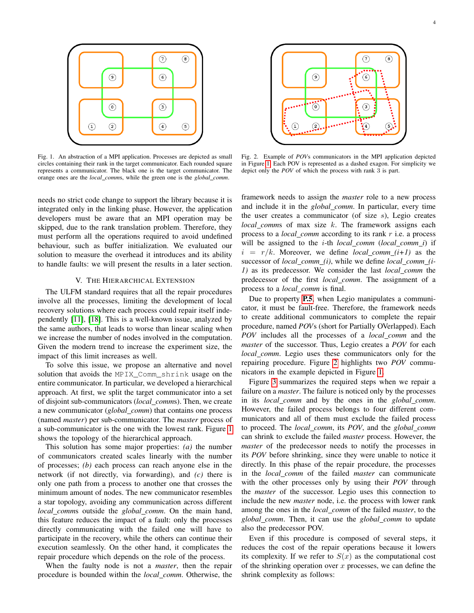

<span id="page-3-1"></span>Fig. 1. An abstraction of a MPI application. Processes are depicted as small circles containing their rank in the target communicator. Each rounded square represents a communicator. The black one is the target communicator. The orange ones are the *local comm*s, while the green one is the *global comm*.

 $\circledcirc$ 6  $\odot$  $\overline{3}$  $\circled{1}$  $\circled{2}$ 

 $(7)$ 

 $\circledast$ 

<span id="page-3-2"></span>Fig. 2. Example of *POV*s communicators in the MPI application depicted in Figure [1.](#page-3-1) Each POV is represented as a dashed exagon. For simplicity we depict only the *POV* of which the process with rank 3 is part.

needs no strict code change to support the library because it is integrated only in the linking phase. However, the application developers must be aware that an MPI operation may be skipped, due to the rank translation problem. Therefore, they must perform all the operations required to avoid undefined behaviour, such as buffer initialization. We evaluated our solution to measure the overhead it introduces and its ability to handle faults: we will present the results in a later section.

## V. THE HIERARCHICAL EXTENSION

<span id="page-3-0"></span>The ULFM standard requires that all the repair procedures involve all the processes, limiting the development of local recovery solutions where each process could repair itself independently [\[11\]](#page-7-10), [\[18\]](#page-7-18). This is a well-known issue, analyzed by the same authors, that leads to worse than linear scaling when we increase the number of nodes involved in the computation. Given the modern trend to increase the experiment size, the impact of this limit increases as well.

To solve this issue, we propose an alternative and novel solution that avoids the MPIX\_Comm\_shrink usage on the entire communicator. In particular, we developed a hierarchical approach. At first, we split the target communicator into a set of disjoint sub-communicators (*local comm*s). Then, we create a new communicator (*global comm*) that contains one process (named *master*) per sub-communicator. The *master* process of a sub-communicator is the one with the lowest rank. Figure [1](#page-3-1) shows the topology of the hierarchical approach.

This solution has some major properties: *(a)* the number of communicators created scales linearly with the number of processes; *(b)* each process can reach anyone else in the network (if not directly, via forwarding), and *(c)* there is only one path from a process to another one that crosses the minimum amount of nodes. The new communicator resembles a star topology, avoiding any communication across different *local comm*s outside the *global comm*. On the main hand, this feature reduces the impact of a fault: only the processes directly communicating with the failed one will have to participate in the recovery, while the others can continue their execution seamlessly. On the other hand, it complicates the repair procedure which depends on the role of the process.

When the faulty node is not a *master*, then the repair procedure is bounded within the *local comm*. Otherwise, the

framework needs to assign the *master* role to a new process and include it in the *global comm*. In particular, every time the user creates a communicator (of size s), Legio creates *local comm*s of max size k. The framework assigns each process to a *local comm* according to its rank r i.e. a process will be assigned to the i-th *local comm* (*local comm i*) if  $i = r/k$ . Moreover, we define *local\_comm\_(i+1)* as the successor of *local comm (i)*, while we define *local comm (i-1)* as its predecessor. We consider the last *local comm* the predecessor of the first *local comm*. The assignment of a process to a *local comm* is final.

Due to property [P.5](#page-2-5), when Legio manipulates a communicator, it must be fault-free. Therefore, the framework needs to create additional communicators to complete the repair procedure, named *POV*s (short for Partially OVerlapped). Each *POV* includes all the processes of a *local comm* and the *master* of the successor. Thus, Legio creates a *POV* for each *local comm*. Legio uses these communicators only for the repairing procedure. Figure [2](#page-3-2) highlights two *POV* communicators in the example depicted in Figure [1.](#page-3-1)

Figure [3](#page-4-0) summarizes the required steps when we repair a failure on a *master*. The failure is noticed only by the processes in its *local comm* and by the ones in the *global comm*. However, the failed process belongs to four different communicators and all of them must exclude the failed process to proceed. The *local comm*, its *POV*, and the *global comm* can shrink to exclude the failed *master* process. However, the *master* of the predecessor needs to notify the processes in its *POV* before shrinking, since they were unable to notice it directly. In this phase of the repair procedure, the processes in the *local comm* of the failed *master* can communicate with the other processes only by using their *POV* through the *master* of the successor. Legio uses this connection to include the new *master* node, i.e. the process with lower rank among the ones in the *local comm* of the failed *master*, to the *global comm*. Then, it can use the *global comm* to update also the predecessor POV.

Even if this procedure is composed of several steps, it reduces the cost of the repair operations because it lowers its complexity. If we refer to  $S(x)$  as the computational cost of the shrinking operation over  $x$  processes, we can define the shrink complexity as follows: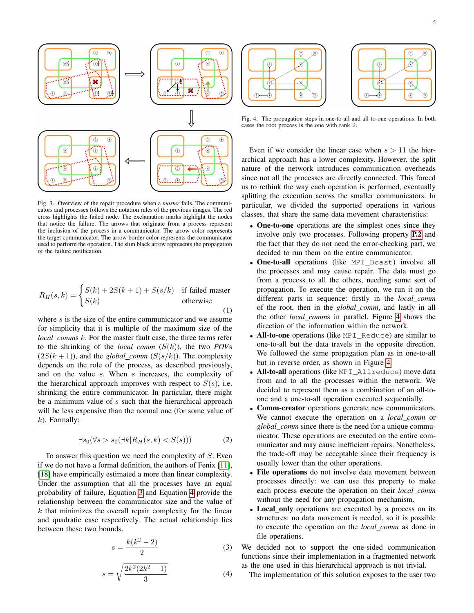

<span id="page-4-0"></span>Fig. 3. Overview of the repair procedure when a *master* fails. The communicators and processes follows the notation rules of the previous images. The red cross highlights the failed node. The exclamation marks highlight the nodes that notice the failure. The arrows that originate from a process represent the inclusion of the process in a communicator. The arrow color represents the target communicator. The arrow border color represents the communicator used to perform the operation. The slim black arrow represents the propagation of the failure notification.

$$
R_H(s,k) = \begin{cases} S(k) + 2S(k+1) + S(s/k) & \text{if failed master} \\ S(k) & \text{otherwise} \end{cases}
$$

where s is the size of the entire communicator and we assume for simplicity that it is multiple of the maximum size of the *local comm*s k. For the master fault case, the three terms refer to the shrinking of the *local comm*  $(S(k))$ , the two *POVs*  $(2S(k+1))$ , and the *global\_comm*  $(S(s/k))$ . The complexity depends on the role of the process, as described previously, and on the value s. When s increases, the complexity of the hierarchical approach improves with respect to  $S(s)$ , i.e. shrinking the entire communicator. In particular, there might be a minimum value of s such that the hierarchical approach will be less expensive than the normal one (for some value of  $k$ ). Formally:

$$
\exists s_0 (\forall s > s_0 (\exists k | R_H(s, k) < S(s))) \tag{2}
$$

To answer this question we need the complexity of  $S$ . Even if we do not have a formal definition, the authors of Fenix [\[11\]](#page-7-10), [\[18\]](#page-7-18) have empirically estimated a more than linear complexity. Under the assumption that all the processes have an equal probability of failure, Equation [3](#page-4-1) and Equation [4](#page-4-2) provide the relationship between the communicator size and the value of  $k$  that minimizes the overall repair complexity for the linear and quadratic case respectively. The actual relationship lies between these two bounds.

<span id="page-4-1"></span>
$$
s = \frac{k(k^2 - 2)}{2} \tag{3}
$$

<span id="page-4-2"></span>
$$
s = \sqrt{\frac{2k^2(2k^2 - 1)}{3}}\tag{4}
$$



<span id="page-4-3"></span>Fig. 4. The propagation steps in one-to-all and all-to-one operations. In both cases the root process is the one with rank 2.

Even if we consider the linear case when  $s > 11$  the hierarchical approach has a lower complexity. However, the split nature of the network introduces communication overheads since not all the processes are directly connected. This forced us to rethink the way each operation is performed, eventually splitting the execution across the smaller communicators. In particular, we divided the supported operations in various classes, that share the same data movement characteristics:

- One-to-one operations are the simplest ones since they involve only two processes. Following property [P.2](#page-2-6) and the fact that they do not need the error-checking part, we decided to run them on the entire communicator.
- One-to-all operations (like MPI\_Bcast) involve all the processes and may cause repair. The data must go from a process to all the others, needing some sort of propagation. To execute the operation, we run it on the different parts in sequence: firstly in the *local comm* of the root, then in the *global comm*, and lastly in all the other *local comm*s in parallel. Figure [4](#page-4-3) shows the direction of the information within the network.
- All-to-one operations (like MPI\_Reduce) are similar to one-to-all but the data travels in the opposite direction. We followed the same propagation plan as in one-to-all but in reverse order, as shown in Figure [4.](#page-4-3)
- All-to-all operations (like MPI\_Allreduce) move data from and to all the processes within the network. We decided to represent them as a combination of an all-toone and a one-to-all operation executed sequentially.
- Comm-creator operations generate new communicators. We cannot execute the operation on a *local comm* or *global comm* since there is the need for a unique communicator. These operations are executed on the entire communicator and may cause inefficient repairs. Nonetheless, the trade-off may be acceptable since their frequency is usually lower than the other operations.
- File operations do not involve data movement between processes directly: we can use this property to make each process execute the operation on their *local comm* without the need for any propagation mechanism.
- Local only operations are executed by a process on its structures: no data movement is needed, so it is possible to execute the operation on the *local comm* as done in file operations.

We decided not to support the one-sided communication functions since their implementation in a fragmented network as the one used in this hierarchical approach is not trivial.

The implementation of this solution exposes to the user two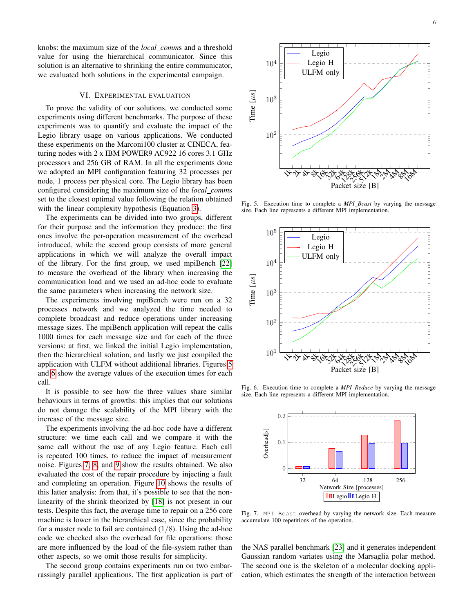knobs: the maximum size of the *local comm*s and a threshold value for using the hierarchical communicator. Since this solution is an alternative to shrinking the entire communicator, we evaluated both solutions in the experimental campaign.

#### VI. EXPERIMENTAL EVALUATION

<span id="page-5-0"></span>To prove the validity of our solutions, we conducted some experiments using different benchmarks. The purpose of these experiments was to quantify and evaluate the impact of the Legio library usage on various applications. We conducted these experiments on the Marconi100 cluster at CINECA, featuring nodes with 2 x IBM POWER9 AC922 16 cores 3.1 GHz processors and 256 GB of RAM. In all the experiments done we adopted an MPI configuration featuring 32 processes per node, 1 process per physical core. The Legio library has been configured considering the maximum size of the *local comm*s set to the closest optimal value following the relation obtained with the linear complexity hypothesis (Equation [3\)](#page-4-1).

The experiments can be divided into two groups, different for their purpose and the information they produce: the first ones involve the per-operation measurement of the overhead introduced, while the second group consists of more general applications in which we will analyze the overall impact of the library. For the first group, we used mpiBench [\[22\]](#page-7-22) to measure the overhead of the library when increasing the communication load and we used an ad-hoc code to evaluate the same parameters when increasing the network size.

The experiments involving mpiBench were run on a 32 processes network and we analyzed the time needed to complete broadcast and reduce operations under increasing message sizes. The mpiBench application will repeat the calls 1000 times for each message size and for each of the three versions: at first, we linked the initial Legio implementation, then the hierarchical solution, and lastly we just compiled the application with ULFM without additional libraries. Figures [5](#page-5-1) and [6](#page-5-2) show the average values of the execution times for each call.

It is possible to see how the three values share similar behaviours in terms of growths: this implies that our solutions do not damage the scalability of the MPI library with the increase of the message size.

The experiments involving the ad-hoc code have a different structure: we time each call and we compare it with the same call without the use of any Legio feature. Each call is repeated 100 times, to reduce the impact of measurement noise. Figures [7,](#page-5-3) [8,](#page-6-1) and [9](#page-6-2) show the results obtained. We also evaluated the cost of the repair procedure by injecting a fault and completing an operation. Figure [10](#page-6-3) shows the results of this latter analysis: from that, it's possible to see that the nonlinearity of the shrink theorized by [\[18\]](#page-7-18) is not present in our tests. Despite this fact, the average time to repair on a 256 core machine is lower in the hierarchical case, since the probability for a master node to fail are contained  $(1/8)$ . Using the ad-hoc code we checked also the overhead for file operations: those are more influenced by the load of the file-system rather than other aspects, so we omit those results for simplicity.

The second group contains experiments run on two embarrassingly parallel applications. The first application is part of



<span id="page-5-1"></span>Fig. 5. Execution time to complete a *MPI Bcast* by varying the message size. Each line represents a different MPI implementation.



<span id="page-5-2"></span>Fig. 6. Execution time to complete a *MPI Reduce* by varying the message size. Each line represents a different MPI implementation.



<span id="page-5-3"></span>Fig. 7. MPI\_Bcast overhead by varying the network size. Each measure accumulate 100 repetitions of the operation.

the NAS parallel benchmark [\[23\]](#page-8-0) and it generates independent Gaussian random variates using the Marsaglia polar method. The second one is the skeleton of a molecular docking application, which estimates the strength of the interaction between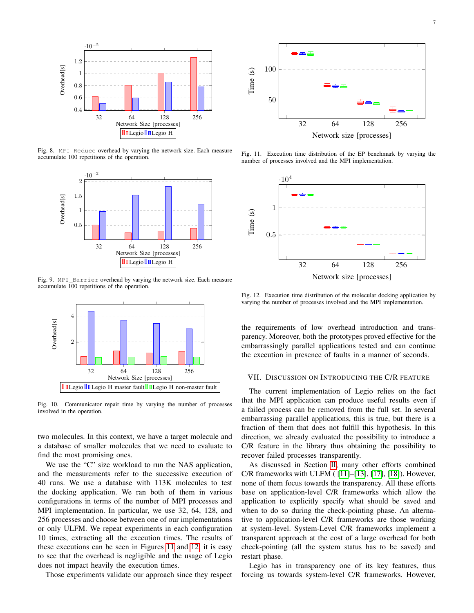

<span id="page-6-1"></span>Fig. 8. MPI\_Reduce overhead by varying the network size. Each measure accumulate 100 repetitions of the operation.



<span id="page-6-2"></span>Fig. 9. MPI\_Barrier overhead by varying the network size. Each measure accumulate 100 repetitions of the operation.



<span id="page-6-3"></span>Fig. 10. Communicator repair time by varying the number of processes involved in the operation.

two molecules. In this context, we have a target molecule and a database of smaller molecules that we need to evaluate to find the most promising ones.

We use the "C" size workload to run the NAS application, and the measurements refer to the successive execution of 40 runs. We use a database with 113K molecules to test the docking application. We ran both of them in various configurations in terms of the number of MPI processes and MPI implementation. In particular, we use 32, 64, 128, and 256 processes and choose between one of our implementations or only ULFM. We repeat experiments in each configuration 10 times, extracting all the execution times. The results of these executions can be seen in Figures [11](#page-6-4) and [12:](#page-6-5) it is easy to see that the overhead is negligible and the usage of Legio does not impact heavily the execution times.

Those experiments validate our approach since they respect



<span id="page-6-4"></span>Fig. 11. Execution time distribution of the EP benchmark by varying the number of processes involved and the MPI implementation.



<span id="page-6-5"></span>Fig. 12. Execution time distribution of the molecular docking application by varying the number of processes involved and the MPI implementation.

the requirements of low overhead introduction and transparency. Moreover, both the prototypes proved effective for the embarrassingly parallel applications tested and can continue the execution in presence of faults in a manner of seconds.

#### <span id="page-6-0"></span>VII. DISCUSSION ON INTRODUCING THE C/R FEATURE

The current implementation of Legio relies on the fact that the MPI application can produce useful results even if a failed process can be removed from the full set. In several embarrassing parallel applications, this is true, but there is a fraction of them that does not fulfill this hypothesis. In this direction, we already evaluated the possibility to introduce a C/R feature in the library thus obtaining the possibility to recover failed processes transparently.

As discussed in Section [II,](#page-1-1) many other efforts combined C/R frameworks with ULFM ( [\[11\]](#page-7-10)–[\[13\]](#page-7-12), [\[17\]](#page-7-17), [\[18\]](#page-7-18)). However, none of them focus towards the transparency. All these efforts base on application-level C/R frameworks which allow the application to explicitly specify what should be saved and when to do so during the check-pointing phase. An alternative to application-level C/R frameworks are those working at system-level. System-Level C/R frameworks implement a transparent approach at the cost of a large overhead for both check-pointing (all the system status has to be saved) and restart phase.

Legio has in transparency one of its key features, thus forcing us towards system-level C/R frameworks. However,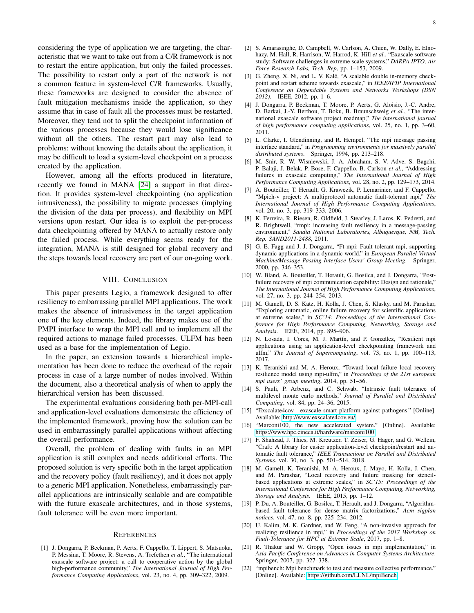considering the type of application we are targeting, the characteristic that we want to take out from a C/R framework is not to restart the entire application, but only the failed processes. The possibility to restart only a part of the network is not a common feature in system-level C/R frameworks. Usually, these frameworks are designed to consider the absence of fault mitigation mechanisms inside the application, so they assume that in case of fault all the processes must be restarted. Moreover, they tend not to split the checkpoint information of the various processes because they would lose significance without all the others. The restart part may also lead to problems: without knowing the details about the application, it may be difficult to load a system-level checkpoint on a process created by the application.

However, among all the efforts produced in literature, recently we found in MANA [\[24\]](#page-8-1) a support in that direction. It provides system-level checkpointing (no application intrusiveness), the possibility to migrate processes (implying the division of the data per process), and flexibility on MPI versions upon restart. Our idea is to exploit the per-process data checkpointing offered by MANA to actually restore only the failed process. While everything seems ready for the integration, MANA is still designed for global recovery and the steps towards local recovery are part of our on-going work.

## VIII. CONCLUSION

<span id="page-7-16"></span>This paper presents Legio, a framework designed to offer resiliency to embarrassing parallel MPI applications. The work makes the absence of intrusiveness in the target application one of the key elements. Indeed, the library makes use of the PMPI interface to wrap the MPI call and to implement all the required actions to manage failed processes. ULFM has been used as a base for the implementation of Legio.

In the paper, an extension towards a hierarchical implementation has been done to reduce the overhead of the repair process in case of a large number of nodes involved. Within the document, also a theoretical analysis of when to apply the hierarchical version has been discussed.

The experimental evaluations considering both per-MPI-call and application-level evaluations demonstrate the efficiency of the implemented framework, proving how the solution can be used in embarrassingly parallel applications without affecting the overall performance.

Overall, the problem of dealing with faults in an MPI application is still complex and needs additional efforts. The proposed solution is very specific both in the target application and the recovery policy (fault resiliency), and it does not apply to a generic MPI application. Nonetheless, embarrassingly parallel applications are intrinsically scalable and are compatible with the future exascale architectures, and in those systems, fault tolerance will be even more important.

#### **REFERENCES**

<span id="page-7-0"></span>[1] J. Dongarra, P. Beckman, P. Aerts, F. Cappello, T. Lippert, S. Matsuoka, P. Messina, T. Moore, R. Stevens, A. Trefethen *et al.*, "The international exascale software project: a call to cooperative action by the global high-performance community," *The International Journal of High Performance Computing Applications*, vol. 23, no. 4, pp. 309–322, 2009.

- <span id="page-7-1"></span>[2] S. Amarasinghe, D. Campbell, W. Carlson, A. Chien, W. Dally, E. Elnohazy, M. Hall, R. Harrison, W. Harrod, K. Hill *et al.*, "Exascale software study: Software challenges in extreme scale systems," *DARPA IPTO, Air Force Research Labs, Tech. Rep*, pp. 1–153, 2009.
- <span id="page-7-2"></span>[3] G. Zheng, X. Ni, and L. V. Kalé, "A scalable double in-memory checkpoint and restart scheme towards exascale," in *IEEE/IFIP International Conference on Dependable Systems and Networks Workshops (DSN 2012)*. IEEE, 2012, pp. 1–6.
- <span id="page-7-3"></span>[4] J. Dongarra, P. Beckman, T. Moore, P. Aerts, G. Aloisio, J.-C. Andre, D. Barkai, J.-Y. Berthou, T. Boku, B. Braunschweig *et al.*, "The international exascale software project roadmap," *The international journal of high performance computing applications*, vol. 25, no. 1, pp. 3–60, 2011.
- <span id="page-7-4"></span>[5] L. Clarke, I. Glendinning, and R. Hempel, "The mpi message passing interface standard," in *Programming environments for massively parallel distributed systems*. Springer, 1994, pp. 213–218.
- <span id="page-7-5"></span>[6] M. Snir, R. W. Wisniewski, J. A. Abraham, S. V. Adve, S. Bagchi, P. Balaji, J. Belak, P. Bose, F. Cappello, B. Carlson *et al.*, "Addressing failures in exascale computing," *The International Journal of High Performance Computing Applications*, vol. 28, no. 2, pp. 129–173, 2014.
- <span id="page-7-6"></span>[7] A. Bouteiller, T. Herault, G. Krawezik, P. Lemarinier, and F. Cappello, "Mpich-v project: A multiprotocol automatic fault-tolerant mpi," *The International Journal of High Performance Computing Applications*, vol. 20, no. 3, pp. 319–333, 2006.
- <span id="page-7-7"></span>[8] K. Ferreira, R. Riesen, R. Oldfield, J. Stearley, J. Laros, K. Pedretti, and R. Brightwell, "rmpi: increasing fault resiliency in a message-passing environment," *Sandia National Laboratories, Albuquerque, NM, Tech. Rep. SAND2011-2488*, 2011.
- <span id="page-7-8"></span>[9] G. E. Fagg and J. J. Dongarra, "Ft-mpi: Fault tolerant mpi, supporting dynamic applications in a dynamic world," in *European Parallel Virtual Machine/Message Passing Interface Users' Group Meeting*. Springer, 2000, pp. 346–353.
- <span id="page-7-9"></span>[10] W. Bland, A. Bouteiller, T. Herault, G. Bosilca, and J. Dongarra, "Postfailure recovery of mpi communication capability: Design and rationale," *The International Journal of High Performance Computing Applications*, vol. 27, no. 3, pp. 244–254, 2013.
- <span id="page-7-10"></span>[11] M. Gamell, D. S. Katz, H. Kolla, J. Chen, S. Klasky, and M. Parashar, "Exploring automatic, online failure recovery for scientific applications at extreme scales," in *SC'14: Proceedings of the International Conference for High Performance Computing, Networking, Storage and Analysis*. IEEE, 2014, pp. 895–906.
- <span id="page-7-11"></span>[12] N. Losada, I. Cores, M. J. Martín, and P. González, "Resilient mpi applications using an application-level checkpointing framework and ulfm," *The Journal of Supercomputing*, vol. 73, no. 1, pp. 100–113, 2017.
- <span id="page-7-12"></span>[13] K. Teranishi and M. A. Heroux, "Toward local failure local recovery resilience model using mpi-ulfm," in *Proceedings of the 21st european mpi users' group meeting*, 2014, pp. 51–56.
- <span id="page-7-13"></span>[14] S. Pauli, P. Arbenz, and C. Schwab, "Intrinsic fault tolerance of multilevel monte carlo methods," *Journal of Parallel and Distributed Computing*, vol. 84, pp. 24–36, 2015.
- <span id="page-7-14"></span>[15] "Exscalate4cov - exascale smart platform against pathogens." [Online]. Available:<http://www.exscalate4cov.eu/>
- <span id="page-7-15"></span>[16] "Marconi100, the new accelerated system." [Online]. Available: <https://www.hpc.cineca.it/hardware/marconi100>
- <span id="page-7-17"></span>[17] F. Shahzad, J. Thies, M. Kreutzer, T. Zeiser, G. Hager, and G. Wellein, "Craft: A library for easier application-level checkpoint/restart and automatic fault tolerance," *IEEE Transactions on Parallel and Distributed Systems*, vol. 30, no. 3, pp. 501–514, 2018.
- <span id="page-7-18"></span>[18] M. Gamell, K. Teranishi, M. A. Heroux, J. Mayo, H. Kolla, J. Chen, and M. Parashar, "Local recovery and failure masking for stencilbased applications at extreme scales," in *SC'15: Proceedings of the International Conference for High Performance Computing, Networking, Storage and Analysis*. IEEE, 2015, pp. 1–12.
- <span id="page-7-19"></span>[19] P. Du, A. Bouteiller, G. Bosilca, T. Herault, and J. Dongarra, "Algorithmbased fault tolerance for dense matrix factorizations," *Acm sigplan notices*, vol. 47, no. 8, pp. 225–234, 2012.
- <span id="page-7-20"></span>[20] U. Kalim, M. K. Gardner, and W. Feng, "A non-invasive approach for realizing resilience in mpi," in *Proceedings of the 2017 Workshop on Fault-Tolerance for HPC at Extreme Scale*, 2017, pp. 1–8.
- <span id="page-7-21"></span>[21] R. Thakur and W. Gropp, "Open issues in mpi implementation," in *Asia-Pacific Conference on Advances in Computer Systems Architecture*. Springer, 2007, pp. 327–338.
- <span id="page-7-22"></span>[22] "mpibench: Mpi benchmark to test and measure collective performance." [Online]. Available:<https://github.com/LLNL/mpiBench>